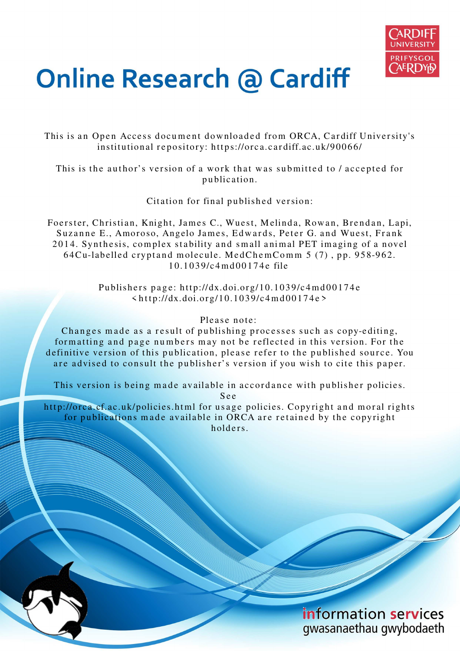

# **Online Research @ Cardiff**

This is an Open Access document downloaded from ORCA, Cardiff University's institutional repository: https://orca.cardiff.ac.uk/90066/

This is the author's version of a work that was submitted to / accepted for p u blication.

Citation for final published version:

Foerster, Christian, Knight, James C., Wuest, Melinda, Rowan, Brendan, Lapi, Suzanne E., Amoroso, Angelo James, Edwards, Peter G. and Wuest, Frank 2014. Synthesis, complex stability and small animal PET imaging of a novel 64 Cu-labelled crypt and molecule. Med Chem Comm 5 (7), pp. 958-962. 1 0.1 0 3 9/c4 m d 0 0 1 7 4 e file

> Publishers page: http://dx.doi.org/10.1039/c4md00174e  $\langle \text{http://dx.doi.org/10.1039/c4md00174e>}$

#### Please note:

Changes made as a result of publishing processes such as copy-editing, formatting and page numbers may not be reflected in this version. For the definitive version of this publication, please refer to the published source. You are advised to consult the publisher's version if you wish to cite this paper.

This version is being made available in accordance with publisher policies.

S e e

http://orca.cf.ac.uk/policies.html for usage policies. Copyright and moral rights for publications made available in ORCA are retained by the copyright holders.

> information services gwasanaethau gwybodaeth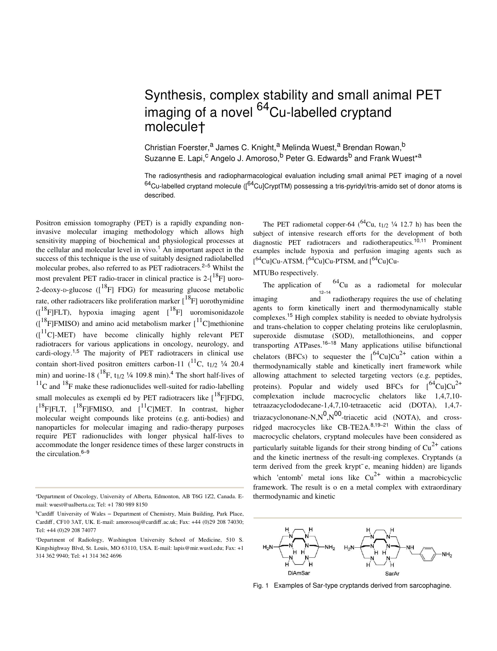## Synthesis, complex stability and small animal PET imaging of a novel <sup>64</sup>Cu-labelled cryptand molecule†

Christian Foerster,<sup>a</sup> James C. Knight,<sup>a</sup> Melinda Wuest,<sup>a</sup> Brendan Rowan,<sup>b</sup> Suzanne E. Lapi,<sup>c</sup> Angelo J. Amoroso,<sup>b</sup> Peter G. Edwards<sup>b</sup> and Frank Wuest\*<sup>a</sup>

The radiosynthesis and radiopharmacological evaluation including small animal PET imaging of a novel  $^{64}$ Cu-labelled cryptand molecule ( $^{64}$ Cu]CryptTM) possessing a tris-pyridyl/tris-amido set of donor atoms is described.

Positron emission tomography (PET) is a rapidly expanding noninvasive molecular imaging methodology which allows high sensitivity mapping of biochemical and physiological processes at the cellular and molecular level in vivo.<sup>1</sup> An important aspect in the success of this technique is the use of suitably designed radiolabelled molecular probes, also referred to as PET radiotracers.<sup>2–5</sup> Whilst the most prevalent PET radio-tracer in clinical practice is  $2-[^{18}F]$  uoro-2-deoxy-p-glucose  $(I^{18}F$  FDG) for measuring glucose metabolic rate, other radiotracers like proliferation marker  $\binom{18}{F}$  uorothymidine  $({}^{18}F]FLT$ ), hypoxia imaging agent  $[{}^{18}F]$  uoromisonidazole  $({}^{18}$ F|FMISO) and amino acid metabolism marker  $[{}^{11}$ C]methionine  $(I<sup>11</sup>C)$ -MET) have become clinically highly relevant PET radiotracers for various applications in oncology, neurology, and cardi-ology.<sup>1,5</sup> The majority of PET radiotracers in clinical use contain short-lived positron emitters carbon-11  $(^{11}C, t_{1/2}$  ¼ 20.4 min) and uorine-18  $(^{18}F, t_{1/2} \frac{1}{4} 109.8 \text{ min.}^4$  The short half-lives of  $11^{\circ}$ C and  $18^{\circ}$ F make these radionuclides well-suited for radio-labelling small molecules as exempli ed by PET radiotracers like  $[{}^{18}F]FDG$ ,  $[$ <sup>18</sup>F]FLT,  $[$ <sup>18</sup>F]FMISO, and  $[$ <sup>11</sup>C]MET. In contrast, higher molecular weight compounds like proteins (e.g. anti-bodies) and nanoparticles for molecular imaging and radio-therapy purposes require PET radionuclides with longer physical half-lives to accommodate the longer residence times of these larger constructs in the circulation. $6-9$ 

The PET radiometal copper-64 ( $^{64}$ Cu, t<sub>1/2</sub>  $\frac{1}{4}$  12.7 h) has been the subject of intensive research efforts for the development of both diagnostic PET radiotracers and radiotherapeutics.<sup>10,11</sup> Prominent examples include hypoxia and perfusion imaging agents such as  $[$ <sup>64</sup>Cu]Cu-ATSM,  $[$ <sup>64</sup>Cu]Cu-PTSM, and  $[$ <sup>64</sup>Cu]Cu-

MTUBo respectively.

The application of  $^{64}$ Cu as a radiometal for molecular imaging and radiotherapy requires the use of chelating  $\frac{12-14}{12}$ agents to form kinetically inert and thermodynamically stable complexes.<sup>15</sup> High complex stability is needed to obviate hydrolysis and trans-chelation to copper chelating proteins like ceruloplasmin, superoxide dismutase (SOD), metallothioneins, and copper transporting ATPases.<sup>16</sup>–<sup>18</sup> Many applications utilise bifunctional chelators (BFCs) to sequester the  $[64 \text{Cu}$ Cu<sup>2+</sup> cation within a thermodynamically stable and kinetically inert framework while allowing attachment to selected targeting vectors (e.g. peptides, proteins). Popular and widely used BFCs for  $\int^{64}Cu|Cu^{2+}$ complexation include macrocyclic chelators like 1,4,7,10 tetraazacyclododecane-1,4,7,10-tetraacetic acid (DOTA), 1,4,7 triazacyclononane-N,N<sup>0</sup>,N<sup>00</sup>-triacetic acid (NOTA), and crossridged macrocycles like CB-TE2A.8,19–<sup>21</sup> Within the class of macrocyclic chelators, cryptand molecules have been considered as particularly suitable ligands for their strong binding of  $Cu^{2+}$  cations and the kinetic inertness of the result-ing complexes. Cryptands (a term derived from the greek krypt<sup>-</sup>e, meaning hidden) are ligands which 'entomb' metal ions like  $Cu^{2+}$  within a macrobicyclic framework. The result is o en a metal complex with extraordinary thermodynamic and kinetic



Fig. 1 Examples of Sar-type cryptands derived from sarcophagine.

<sup>a</sup>Department of Oncology, University of Alberta, Edmonton, AB T6G 1Z2, Canada. Email: wuest@ualberta.ca; Tel: +1 780 989 8150

<sup>b</sup>Cardiff University of Wales – Department of Chemistry, Main Building, Park Place, Cardiff , CF10 3AT, UK. E-mail: amorosoaj@cardiff .ac.uk; Fax: +44 (0)29 208 74030; Tel: +44 (0)29 208 74077

<sup>c</sup>Department of Radiology, Washington University School of Medicine, 510 S. Kingshighway Blvd, St. Louis, MO 63110, USA. E-mail: lapis@mir.wustl.edu; Fax: +1 314 362 9940; Tel: +1 314 362 4696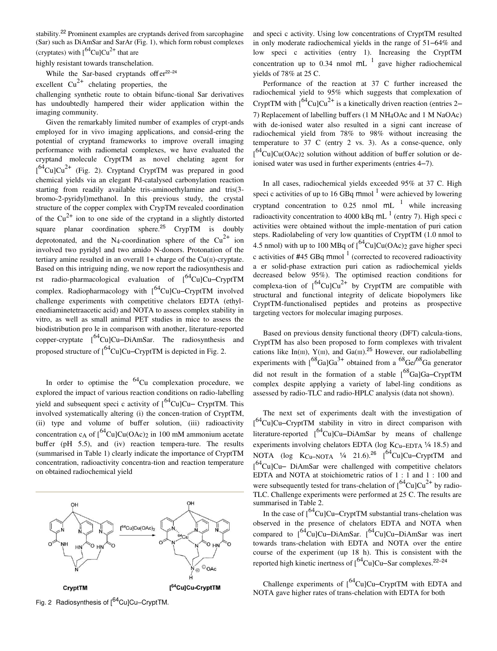stability.22 Prominent examples are cryptands derived from sarcophagine (Sar) such as DiAmSar and SarAr (Fig. 1), which form robust complexes (cryptates) with  $1^{64}$ CulCu<sup>2+</sup> that are

highly resistant towards transchelation.

While the Sar-based cryptands offer $22-24$ 

excellent  $Cu^{2+}$  chelating properties, the

challenging synthetic route to obtain bifunc-tional Sar derivatives has undoubtedly hampered their wider application within the imaging community.

Given the remarkably limited number of examples of crypt-ands employed for in vivo imaging applications, and consid-ering the potential of cryptand frameworks to improve overall imaging performance with radiometal complexes, we have evaluated the cryptand molecule CryptTM as novel chelating agent for  $[$ <sup>64</sup>Cu]Cu<sup>2+</sup> (Fig. 2). Cryptand CryptTM was prepared in good chemical yields via an elegant Pd-catalysed carbonylation reaction starting from readily available tris-aminoethylamine and tris(3 bromo-2-pyridyl)methanol. In this previous study, the crystal structure of the copper complex with CrypTM revealed coordination of the  $Cu^{2+}$  ion to one side of the cryptand in a slightly distorted square planar coordination sphere.<sup>25</sup> CrypTM is doubly deprotonated, and the N<sub>4</sub>-coordination sphere of the  $Cu^{2+}$  ion involved two pyridyl and two amido N-donors. Protonation of the tertiary amine resulted in an overall  $1+$  charge of the Cu( $\pi$ )-cryptate. Based on this intriguing nding, we now report the radiosynthesis and rst radio-pharmacological evaluation of  $[{}^{64}Cu]Cu-CryptTM$ complex. Radiopharmacology with  $\int^{64}$ Cu]Cu–CryptTM involved challenge experiments with competitive chelators EDTA (ethylenediaminetetraacetic acid) and NOTA to assess complex stability in vitro, as well as small animal PET studies in mice to assess the biodistribution pro le in comparison with another, literature-reported copper-cryptate  $[{}^{64}Cu]Cu-DiAmSar$ . The radiosynthesis and proposed structure of  $\int^{64}$ Cu]Cu–CryptTM is depicted in Fig. 2.

In order to optimise the  ${}^{64}$ Cu complexation procedure, we explored the impact of various reaction conditions on radio-labelling yield and subsequent speci c activity of  $\int^{64}$ Cu]Cu– CryptTM. This involved systematically altering (i) the concen-tration of CryptTM, (ii) type and volume of buffer solution, (iii) radioactivity concentration c<sub>A</sub> of  $\int_{0}^{64}Cu$ ]Cu(OAc)<sub>2</sub> in 100 mM ammonium acetate buffer (pH 5.5), and (iv) reaction tempera-ture. The results (summarised in Table 1) clearly indicate the importance of CryptTM concentration, radioactivity concentra-tion and reaction temperature on obtained radiochemical yield



Fig. 2 Radiosynthesis of  $[{}^{64}$ Cu]Cu–CryptTM.

and speci c activity. Using low concentrations of CryptTM resulted in only moderate radiochemical yields in the range of 51–64% and low speci c activities (entry 1). Increasing the CryptTM concentration up to 0.34 nmol  $mL^{-1}$  gave higher radiochemical yields of 78% at 25 C.

Performance of the reaction at 37 C further increased the radiochemical yield to 95% which suggests that complexation of CryptTM with  $1^{64}$ CulCu<sup>2+</sup> is a kinetically driven reaction (entries 2– 7) Replacement of labelling buffers (1 M NH4OAc and 1 M NaOAc) with de-ionised water also resulted in a signi cant increase of radiochemical yield from 78% to 98% without increasing the temperature to 37 C (entry 2 vs. 3). As a conse-quence, only  $[64$ Cu]Cu(OAc)<sub>2</sub> solution without addition of buffer solution or deionised water was used in further experiments (entries 4–7).

In all cases, radiochemical yields exceeded 95% at 37 C. High speci c activities of up to 16 GBq mmol  $^1$  were achieved by lowering cryptand concentration to 0.25 nmol  $mL^{-1}$  while increasing radioactivity concentration to 4000 kBq mL  $^1$  (entry 7). High speci c activities were obtained without the imple-mentation of puri cation steps. Radiolabeling of very low quantities of CryptTM (1.0 nmol to 4.5 nmol) with up to 100 MBq of  $\int^{64}Cu$  Cu(OAc)<sub>2</sub> gave higher speci c activities of #45 GBq mmol  $<sup>1</sup>$  (corrected to recovered radioactivity</sup> a er solid-phase extraction puri cation as radiochemical yields decreased below 95%). The optimised reaction conditions for complexa-tion of  $\int_{0}^{64}Cu|Cu^{2+}$  by CryptTM are compatible with structural and functional integrity of delicate biopolymers like CryptTM-functionalised peptides and proteins as prospective targeting vectors for molecular imaging purposes.

Based on previous density functional theory (DFT) calcula-tions, CryptTM has also been proposed to form complexes with trivalent cations like In( $\text{m}$ ), Y( $\text{m}$ ), and Ga( $\text{m}$ ).<sup>25</sup> However, our radiolabelling experiments with  $1^{68}Ga]Ga^{3+}$  obtained from a  $68\text{Ge}/68\text{Ga}$  generator did not result in the formation of a stable  $1^{68}$ Ga]Ga–CryptTM complex despite applying a variety of label-ling conditions as assessed by radio-TLC and radio-HPLC analysis (data not shown).

The next set of experiments dealt with the investigation of [<sup>64</sup>Cu]Cu–CryptTM stability in vitro in direct comparison with literature-reported  $\int_{0}^{64}Cu$ ]Cu–DiAmSar by means of challenge experiments involving chelators EDTA (log  $K_{Cu-EDTA}$   $\frac{1}{4}$  18.5) and NOTA (log  $K_{Cu-NOTA}$   $\frac{1}{4}$  21.6).<sup>26</sup> [<sup>64</sup>Cu]Cu–CryptTM and [<sup>64</sup>Cu]Cu– DiAmSar were challenged with competitive chelators EDTA and NOTA at stoichiometric ratios of 1 : 1 and 1 : 100 and were subsequently tested for trans-chelation of  $\int_{0}^{64}Cu|Cu^{2+}$  by radio-TLC. Challenge experiments were performed at 25 C. The results are summarised in Table 2.

In the case of  $\int_{0}^{64}Cu$ ]Cu–CryptTM substantial trans-chelation was observed in the presence of chelators EDTA and NOTA when compared to  $[{}^{64}Cu]Cu-DiAmSar.$   $[{}^{64}Cu]Cu-DiAmSar$  was inert towards trans-chelation with EDTA and NOTA over the entire course of the experiment (up 18 h). This is consistent with the reported high kinetic inertness of  $\int_{0}^{64}Cu$ ]Cu–Sar complexes.<sup>22–24</sup>

Challenge experiments of  $\int_{0}^{64}Cu$ ]Cu–CryptTM with EDTA and NOTA gave higher rates of trans-chelation with EDTA for both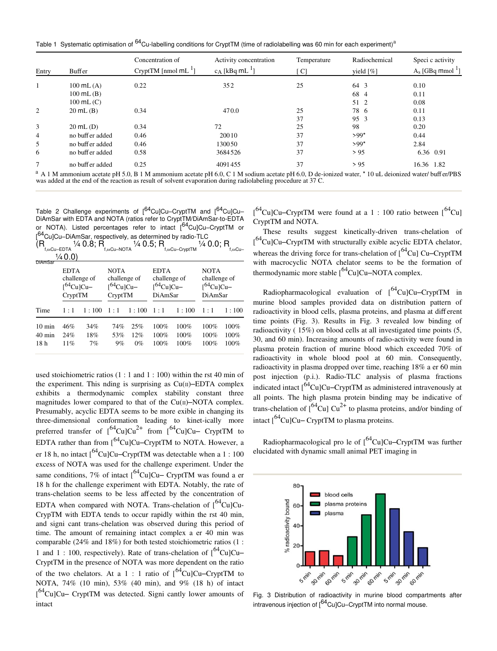Table 1 Systematic optimisation of <sup>64</sup>Cu-labelling conditions for CryptTM (time of radiolabelling was 60 min for each experiment)<sup>a</sup>

|                | <b>Buffer</b>          | Concentration of<br>CryptTM [nmol $mL^{-1}$ ] | Activity concentration<br>$c_A$ [kBq mL $^{-1}$ ] | Temperature | Radiochemical | Speci c activity<br>$A_s$ [GBq mmol $\frac{1}{2}$ ] |
|----------------|------------------------|-----------------------------------------------|---------------------------------------------------|-------------|---------------|-----------------------------------------------------|
| Entry          |                        |                                               |                                                   | ן Cl        | yield $[\%]$  |                                                     |
|                | $100$ mL $(A)$         | 0.22                                          | 352                                               | 25          | 64 3          | 0.10                                                |
|                | $100 \text{ mL}$ $(B)$ |                                               |                                                   |             | 68 4          | 0.11                                                |
|                | $100 \text{ mL}$ (C)   |                                               |                                                   |             | 51 2          | 0.08                                                |
| 2              | $20 \text{ mL}$ (B)    | 0.34                                          | 470.0                                             | 25          | 78 6          | 0.11                                                |
|                |                        |                                               |                                                   | 37          | 95 3          | 0.13                                                |
| 3              | $20 \text{ mL}$ (D)    | 0.34                                          | 72                                                | 25          | 98            | 0.20                                                |
| $\overline{4}$ | no buffer added        | 0.46                                          | 20010                                             | 37          | $>99*$        | 0.44                                                |
| 5              | no buff er added       | 0.46                                          | 130050                                            | 37          | $>99*$        | 2.84                                                |
| 6              | no buffer added        | 0.58                                          | 3684526                                           | 37          | > 95          | 6.36 0.91                                           |
|                | no buff er added       | 0.25                                          | 4091455                                           | 37          | > 95          | 16.36 1.82                                          |
|                |                        |                                               |                                                   |             |               |                                                     |

 $^a$  A 1 M ammonium acetate pH 5.0, B 1 M ammonium acetate pH 6.0, C 1 M sodium acetate pH 6.0, D de-ionized water, \* 10 uL deionized water/ buffer/PBS was added at the end of the reaction as result of solvent evaporation

Table 2 Challenge experiments of [<sup>64</sup>Cu]Cu–CryptTM and [<sup>64</sup>Cu]Cu– DiAmSar with EDTA and NOTA (ratios refer to CryptTM/DiAmSar-to-EDTA or NOTA). Listed percentages refer to intact [64Cu]Cu–CryptTM or [<sup>64</sup>Cu]Cu–DiAmSar, respectively, as determined by radio-TLC

 $(\mathsf{R}_{\scriptscriptstyle{\mathsf{f,soCu-EDTA}}} \mathcal{V}_4$   $0.8; \mathsf{R}_{\scriptscriptstyle{\mathsf{f,soCu-NOTA}}} \mathcal{V}_4$   $0.5; \mathsf{R}_{\scriptscriptstyle{\mathsf{f,soCu-CryptTM}}} \mathcal{V}_4$   $0.0; \mathsf{R}_{\scriptscriptstyle{\mathsf{f,soCu-CDTAP}}}$  $\frac{1}{4}0.0$ 

| DiAmSar          | <b>EDTA</b>        |       | NOTA               |       | <b>EDTA</b>     |       | <b>NOTA</b>        |       |
|------------------|--------------------|-------|--------------------|-------|-----------------|-------|--------------------|-------|
|                  | challenge of       |       | challenge of       |       | challenge of    |       | challenge of       |       |
|                  | $\int^{64}$ Cu]Cu- |       | $\int^{64}$ Cu]Cu- |       | $I^{64}Cu$ ]Cu- |       | $\int^{64}$ Cu]Cu- |       |
|                  | CryptTM            |       | CryptTM            |       | DiAmSar         |       | DiAmSar            |       |
| Time             | 1:1                | 1:100 | 1:1                | 1:100 | 1:1             | 1:100 | 1:1                | 1:100 |
| $10 \text{ min}$ | 46%                | 34%   | 74%                | 25%   | 100%            | 100%  | 100%               | 100%  |
| $40 \text{ min}$ | 24%                | 18%   | 53%                | 12%   | 100%            | 100%  | 100%               | 100%  |
| 18h              | 11%                | 7%    | 9%                 | $0\%$ | 100%            | 100%  | 100%               | 100%  |

used stoichiometric ratios (1 : 1 and 1 : 100) within the rst 40 min of the experiment. This nding is surprising as  $Cu(II)$ –EDTA complex exhibits a thermodynamic complex stability constant three magnitudes lower compared to that of the  $Cu(II)$ –NOTA complex. Presumably, acyclic EDTA seems to be more exible in changing its three-dimensional conformation leading to kinet-ically more preferred transfer of  $[{}^{64}Cu]Cu^{2+}$  from  $[{}^{64}Cu]Cu$ – CryptTM to EDTA rather than from  $\int^{64}$ Cu]Cu–CryptTM to NOTA. However, a er 18 h, no intact  $\int^{64}$ Cu]Cu–CryptTM was detectable when a 1 : 100 excess of NOTA was used for the challenge experiment. Under the same conditions, 7% of intact  $\int^{64}Cu$ ]Cu– CryptTM was found a er 18 h for the challenge experiment with EDTA. Notably, the rate of trans-chelation seems to be less affected by the concentration of EDTA when compared with NOTA. Trans-chelation of  $\int^{64}$ Cu]Cu-CrypTM with EDTA tends to occur rapidly within the rst 40 min, and signi cant trans-chelation was observed during this period of time. The amount of remaining intact complex a er 40 min was comparable (24% and 18%) for both tested stoichiometric ratios (1 : 1 and 1 : 100, respectively). Rate of trans-chelation of  $[^{64}$ Cu]Cu– CryptTM in the presence of NOTA was more dependent on the ratio of the two chelators. At a 1 : 1 ratio of  $[{}^{64}Cu]Cu-CryptTM$  to NOTA, 74% (10 min), 53% (40 min), and 9% (18 h) of intact [<sup>64</sup>Cu]Cu– CryptTM was detected. Signi cantly lower amounts of intact

 $[$ <sup>64</sup>Cu]Cu–CryptTM were found at a 1 : 100 ratio between  $[$ <sup>64</sup>Cu] CryptTM and NOTA.

These results suggest kinetically-driven trans-chelation of [<sup>64</sup>Cu]Cu–CryptTM with structurally exible acyclic EDTA chelator, whereas the driving force for trans-chelation of  $\int^{64}$ Cu] Cu–CryptTM with macrocyclic NOTA chelator seems to be the formation of thermodynamic more stable  $\int_{0}^{64}$ Cu]Cu–NOTA complex.

Radiopharmacological evaluation of  $\int^{64}$ Cu]Cu–CryptTM in murine blood samples provided data on distribution pattern of radioactivity in blood cells, plasma proteins, and plasma at different time points (Fig. 3). Results in Fig. 3 revealed low binding of radioactivity ( 15%) on blood cells at all investigated time points (5, 30, and 60 min). Increasing amounts of radio-activity were found in plasma protein fraction of murine blood which exceeded 70% of radioactivity in whole blood pool at 60 min. Consequently, radioactivity in plasma dropped over time, reaching 18% a er 60 min post injection (p.i.). Radio-TLC analysis of plasma fractions indicated intact  $\int^{64}$ Cu]Cu–CryptTM as administered intravenously at all points. The high plasma protein binding may be indicative of trans-chelation of  $1^{64}$ Cu] Cu<sup>2+</sup> to plasma proteins, and/or binding of intact  $\int^{64}$ Cu]Cu– CryptTM to plasma proteins.

Radiopharmacological pro le of  $1^{64}$ Cu]Cu–CryptTM was further elucidated with dynamic small animal PET imaging in



Fig. 3 Distribution of radioactivity in murine blood compartments after intravenous injection of  $1^{64}$ CulCu–CryptTM into normal mouse.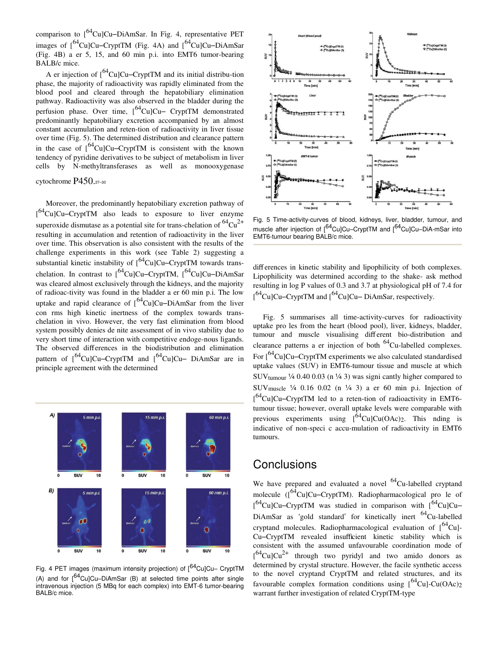comparison to  $\int^{64}$ Cu]Cu–DiAmSar. In Fig. 4, representative PET images of  $\int^{64}$ Cu]Cu–CryptTM (Fig. 4A) and  $\int^{64}$ Cu]Cu–DiAmSar (Fig. 4B) a er 5, 15, and 60 min p.i. into EMT6 tumor-bearing BALB/c mice.

A er injection of  $\int^{64}$ Cu]Cu–CryptTM and its initial distribu-tion phase, the majority of radioactivity was rapidly eliminated from the blood pool and cleared through the hepatobiliary elimination pathway. Radioactivity was also observed in the bladder during the perfusion phase. Over time,  $\int_{0}^{64}Cu$ ]Cu– CryptTM demonstrated predominantly hepatobiliary excretion accompanied by an almost constant accumulation and reten-tion of radioactivity in liver tissue over time (Fig. 5). The determined distribution and clearance pattern in the case of  $1^{64}$ Cu]Cu–CryptTM is consistent with the known tendency of pyridine derivatives to be subject of metabolism in liver cells by N-methyltransferases as well as monooxygenase

cytochrome P450.<sup>27</sup>–<sup>30</sup>

Moreover, the predominantly hepatobiliary excretion pathway of [<sup>64</sup>Cu]Cu–CryptTM also leads to exposure to liver enzyme superoxide dismutase as a potential site for trans-chelation of  ${}^{64}Cu^{2+}$ resulting in accumulation and retention of radioactivity in the liver over time. This observation is also consistent with the results of the challenge experiments in this work (see Table 2) suggesting a substantial kinetic instability of  $\int_{0}^{64}Cu$ ]Cu–CryptTM towards transchelation. In contrast to  $164$ Cu]Cu–CryptTM,  $164$ Cu]Cu–DiAmSar was cleared almost exclusively through the kidneys, and the majority of radioac-tivity was found in the bladder a er 60 min p.i. The low uptake and rapid clearance of  $\int_{0}^{64}$ CulCu–DiAmSar from the liver con rms high kinetic inertness of the complex towards transchelation in vivo. However, the very fast elimination from blood system possibly denies de nite assessment of in vivo stability due to very short time of interaction with competitive endoge-nous ligands. The observed differences in the biodistribution and elimination pattern of  $\int^{64}$ Cu]Cu–CryptTM and  $\int^{64}$ Cu]Cu– DiAmSar are in principle agreement with the determined



Fig. 4 PET images (maximum intensity projection) of  $1^{64}$ CulCu– CryptTM (A) and for  $\int_{0}^{64}$ Cu]Cu–DiAmSar (B) at selected time points after single intravenous injection (5 MBq for each complex) into EMT-6 tumor-bearing BALB/c mice.



Fig. 5 Time-activity-curves of blood, kidneys, liver, bladder, tumour, and muscle after injection of [<sup>64</sup>Cu]Cu–CryptTM and [<sup>64</sup>Cu]Cu–DiA-mSar into EMT6-tumour bearing BALB/c mice.

differences in kinetic stability and lipophilicity of both complexes. Lipophilicity was determined according to the shake- ask method resulting in log P values of 0.3 and 3.7 at physiological pH of 7.4 for  $\int^{64}$ Cu]Cu–CryptTM and  $\int^{64}$ Cu]Cu–DiAmSar, respectively.

Fig. 5 summarises all time-activity-curves for radioactivity uptake pro les from the heart (blood pool), liver, kidneys, bladder, tumour and muscle visualising different bio-distribution and clearance patterns a er injection of both  ${}^{64}$ Cu-labelled complexes. For  $1^{64}$ Cu]Cu–CryptTM experiments we also calculated standardised uptake values (SUV) in EMT6-tumour tissue and muscle at which SUVtumour ¼ 0.40 0.03 (n ¼ 3) was signi cantly higher compared to SUV<sub>muscle</sub>  $\frac{1}{4}$  0.16 0.02 (n  $\frac{1}{4}$  3) a er 60 min p.i. Injection of [<sup>64</sup>Cu]Cu–CryptTM led to a reten-tion of radioactivity in EMT6tumour tissue; however, overall uptake levels were comparable with previous experiments using  $\int^{64}$ Cu]Cu(OAc)<sub>2</sub>. This nding is indicative of non-speci c accu-mulation of radioactivity in EMT6 tumours.

### **Conclusions**

We have prepared and evaluated a novel  $^{64}$ Cu-labelled cryptand molecule ( $1^{64}$ Cu]Cu–CryptTM). Radiopharmacological pro le of  $[$ <sup>64</sup>Cu]Cu–CryptTM was studied in comparison with  $[$ <sup>64</sup>Cu]Cu– DiAmSar as 'gold standard' for kinetically inert <sup>64</sup>Cu-labelled cryptand molecules. Radiopharmacological evaluation of  $\int_{0}^{64}Cu$ ]-Cu–CryptTM revealed insufficient kinetic stability which is consistent with the assumed unfavourable coordination mode of  $\int_{0}^{64}$ Cu]Cu<sup>2+</sup> through two pyridyl and two amido donors as determined by crystal structure. However, the facile synthetic access to the novel cryptand CryptTM and related structures, and its favourable complex formation conditions using  $\int^{64}$ Cu]-Cu(OAc)<sub>2</sub> warrant further investigation of related CryptTM-type